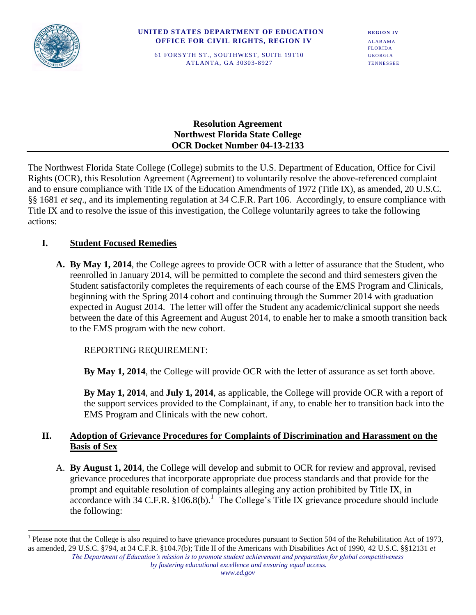

 $\overline{a}$ 

#### **UNITED STATES DEPARTMENT OF EDUCATION REGION IV** *OFFICE FOR CIVIL RIGHTS, REGION IV* **ALABAMA**

FLORIDA 61 FORSYTH ST., SOUTHWEST, SUITE 19T10 GEORGIA ATLANTA, GA 30303-8927 TENNESSEE

#### **Resolution Agreement Northwest Florida State College OCR Docket Number 04-13-2133**

The Northwest Florida State College (College) submits to the U.S. Department of Education, Office for Civil Rights (OCR), this Resolution Agreement (Agreement) to voluntarily resolve the above-referenced complaint and to ensure compliance with Title IX of the Education Amendments of 1972 (Title IX), as amended, 20 U.S.C. §§ 1681 *et seq*., and its implementing regulation at 34 C.F.R. Part 106. Accordingly, to ensure compliance with Title IX and to resolve the issue of this investigation, the College voluntarily agrees to take the following actions:

# **I. Student Focused Remedies**

**A. By May 1, 2014**, the College agrees to provide OCR with a letter of assurance that the Student, who reenrolled in January 2014, will be permitted to complete the second and third semesters given the Student satisfactorily completes the requirements of each course of the EMS Program and Clinicals, beginning with the Spring 2014 cohort and continuing through the Summer 2014 with graduation expected in August 2014. The letter will offer the Student any academic/clinical support she needs between the date of this Agreement and August 2014, to enable her to make a smooth transition back to the EMS program with the new cohort.

## REPORTING REQUIREMENT:

**By May 1, 2014**, the College will provide OCR with the letter of assurance as set forth above.

**By May 1, 2014**, and **July 1, 2014**, as applicable, the College will provide OCR with a report of the support services provided to the Complainant, if any, to enable her to transition back into the EMS Program and Clinicals with the new cohort.

## **II. Adoption of Grievance Procedures for Complaints of Discrimination and Harassment on the Basis of Sex**

A. **By August 1, 2014**, the College will develop and submit to OCR for review and approval, revised grievance procedures that incorporate appropriate due process standards and that provide for the prompt and equitable resolution of complaints alleging any action prohibited by Title IX, in  $\alpha$  accordance with 34 C.F.R.  $$106.8(b)$ .<sup>1</sup> The College's Title IX grievance procedure should include the following:

<sup>1</sup> Please note that the College is also required to have grievance procedures pursuant to Section 504 of the Rehabilitation Act of 1973, as amended, 29 U.S.C. §794, at 34 C.F.R. §104.7(b); Title II of the Americans with Disabilities Act of 1990, 42 U.S.C. §§12131 *et* 

*The Department of Education's mission is to promote student achievement and preparation for global competitiveness by fostering educational excellence and ensuring equal access.*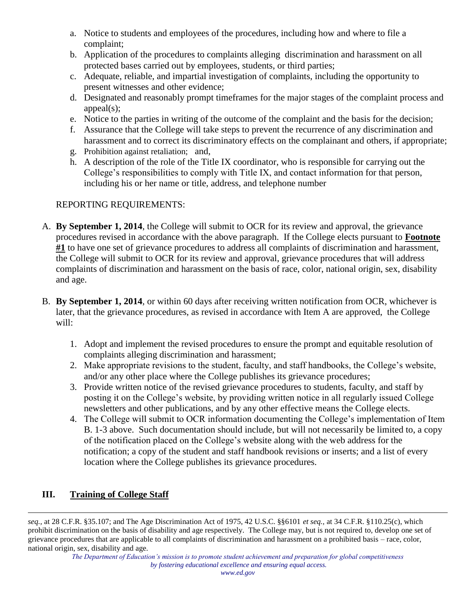- a. Notice to students and employees of the procedures, including how and where to file a complaint;
- b. Application of the procedures to complaints alleging discrimination and harassment on all protected bases carried out by employees, students, or third parties;
- c. Adequate, reliable, and impartial investigation of complaints, including the opportunity to present witnesses and other evidence;
- d. Designated and reasonably prompt timeframes for the major stages of the complaint process and appeal(s):
- e. Notice to the parties in writing of the outcome of the complaint and the basis for the decision;
- f. Assurance that the College will take steps to prevent the recurrence of any discrimination and harassment and to correct its discriminatory effects on the complainant and others, if appropriate;
- g. Prohibition against retaliation; and,
- h. A description of the role of the Title IX coordinator, who is responsible for carrying out the College's responsibilities to comply with Title IX, and contact information for that person, including his or her name or title, address, and telephone number

## REPORTING REQUIREMENTS:

- A. **By September 1, 2014**, the College will submit to OCR for its review and approval, the grievance procedures revised in accordance with the above paragraph. If the College elects pursuant to **Footnote #1** to have one set of grievance procedures to address all complaints of discrimination and harassment, the College will submit to OCR for its review and approval, grievance procedures that will address complaints of discrimination and harassment on the basis of race, color, national origin, sex, disability and age.
- B. **By September 1, 2014**, or within 60 days after receiving written notification from OCR, whichever is later, that the grievance procedures, as revised in accordance with Item A are approved, the College will:
	- 1. Adopt and implement the revised procedures to ensure the prompt and equitable resolution of complaints alleging discrimination and harassment;
	- 2. Make appropriate revisions to the student, faculty, and staff handbooks, the College's website, and/or any other place where the College publishes its grievance procedures;
	- 3. Provide written notice of the revised grievance procedures to students, faculty, and staff by posting it on the College's website, by providing written notice in all regularly issued College newsletters and other publications, and by any other effective means the College elects.
	- 4. The College will submit to OCR information documenting the College's implementation of Item B. 1-3 above. Such documentation should include, but will not necessarily be limited to, a copy of the notification placed on the College's website along with the web address for the notification; a copy of the student and staff handbook revisions or inserts; and a list of every location where the College publishes its grievance procedures.

# **III. Training of College Staff**

 $\overline{a}$ 

*seq.,* at 28 C.F.R. §35.107; and The Age Discrimination Act of 1975, 42 U.S.C. §§6101 *et seq.,* at 34 C.F.R. §110.25(c), which prohibit discrimination on the basis of disability and age respectively. The College may, but is not required to, develop one set of grievance procedures that are applicable to all complaints of discrimination and harassment on a prohibited basis – race, color, national origin, sex, disability and age.